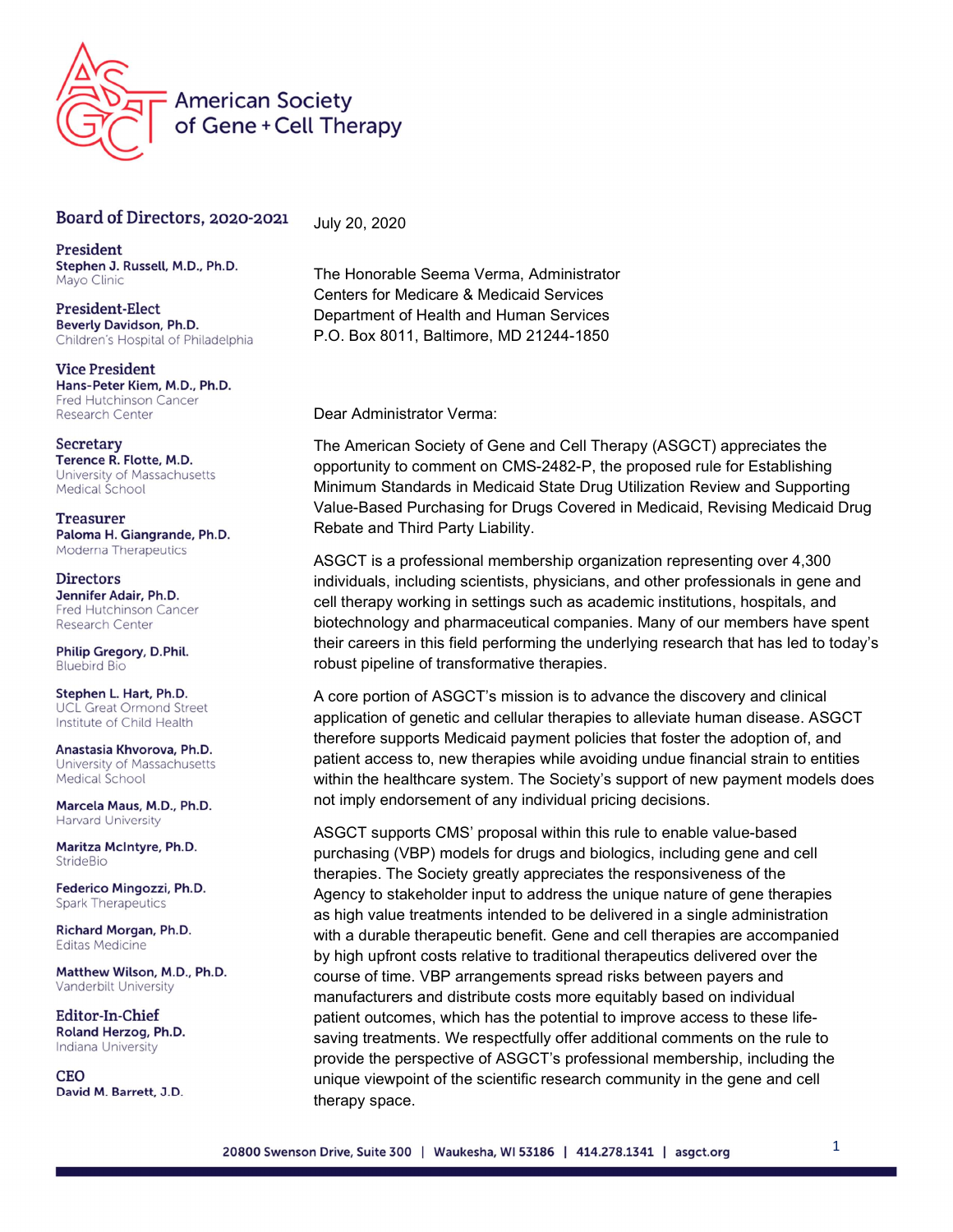

## Board of Directors, 2020-2021

President Stephen J. Russell, M.D., Ph.D. Mayo Clinic

President-Elect Beverly Davidson, Ph.D. Children's Hospital of Philadelphia

**Vice President** Hans-Peter Kiem, M.D., Ph.D. Fred Hutchinson Cancer Research Center

Secretary Terence R. Flotte, M.D. University of Massachusetts Medical School

**Treasurer** Paloma H. Giangrande, Ph.D. Moderna Therapeutics

**Directors** Jennifer Adair, Ph.D. Fred Hutchinson Cancer **Research Center** 

Philip Gregory, D.Phil. **Bluebird Bio** 

Stephen L. Hart, Ph.D. **UCL Great Ormond Street** Institute of Child Health

Anastasia Khvorova, Ph.D. University of Massachusetts Medical School

Marcela Maus, M.D., Ph.D. Harvard University

Maritza McIntyre, Ph.D. StrideBio

Federico Mingozzi, Ph.D. **Spark Therapeutics** 

Richard Morgan, Ph.D. **Editas Medicine** 

Matthew Wilson, M.D., Ph.D. Vanderbilt University

Editor-In-Chief Roland Herzog, Ph.D. Indiana University

**CEO** David M. Barrett, J.D. The Honorable Seema Verma, Administrator Centers for Medicare & Medicaid Services Department of Health and Human Services P.O. Box 8011, Baltimore, MD 21244-1850

Dear Administrator Verma:

July 20, 2020

The American Society of Gene and Cell Therapy (ASGCT) appreciates the opportunity to comment on CMS-2482-P, the proposed rule for Establishing Minimum Standards in Medicaid State Drug Utilization Review and Supporting Value-Based Purchasing for Drugs Covered in Medicaid, Revising Medicaid Drug Rebate and Third Party Liability.

ASGCT is a professional membership organization representing over 4,300 individuals, including scientists, physicians, and other professionals in gene and cell therapy working in settings such as academic institutions, hospitals, and biotechnology and pharmaceutical companies. Many of our members have spent their careers in this field performing the underlying research that has led to today's robust pipeline of transformative therapies.

A core portion of ASGCT's mission is to advance the discovery and clinical application of genetic and cellular therapies to alleviate human disease. ASGCT therefore supports Medicaid payment policies that foster the adoption of, and patient access to, new therapies while avoiding undue financial strain to entities within the healthcare system. The Society's support of new payment models does not imply endorsement of any individual pricing decisions.

ASGCT supports CMS' proposal within this rule to enable value-based purchasing (VBP) models for drugs and biologics, including gene and cell therapies. The Society greatly appreciates the responsiveness of the Agency to stakeholder input to address the unique nature of gene therapies as high value treatments intended to be delivered in a single administration with a durable therapeutic benefit. Gene and cell therapies are accompanied by high upfront costs relative to traditional therapeutics delivered over the course of time. VBP arrangements spread risks between payers and manufacturers and distribute costs more equitably based on individual patient outcomes, which has the potential to improve access to these lifesaving treatments. We respectfully offer additional comments on the rule to provide the perspective of ASGCT's professional membership, including the unique viewpoint of the scientific research community in the gene and cell therapy space.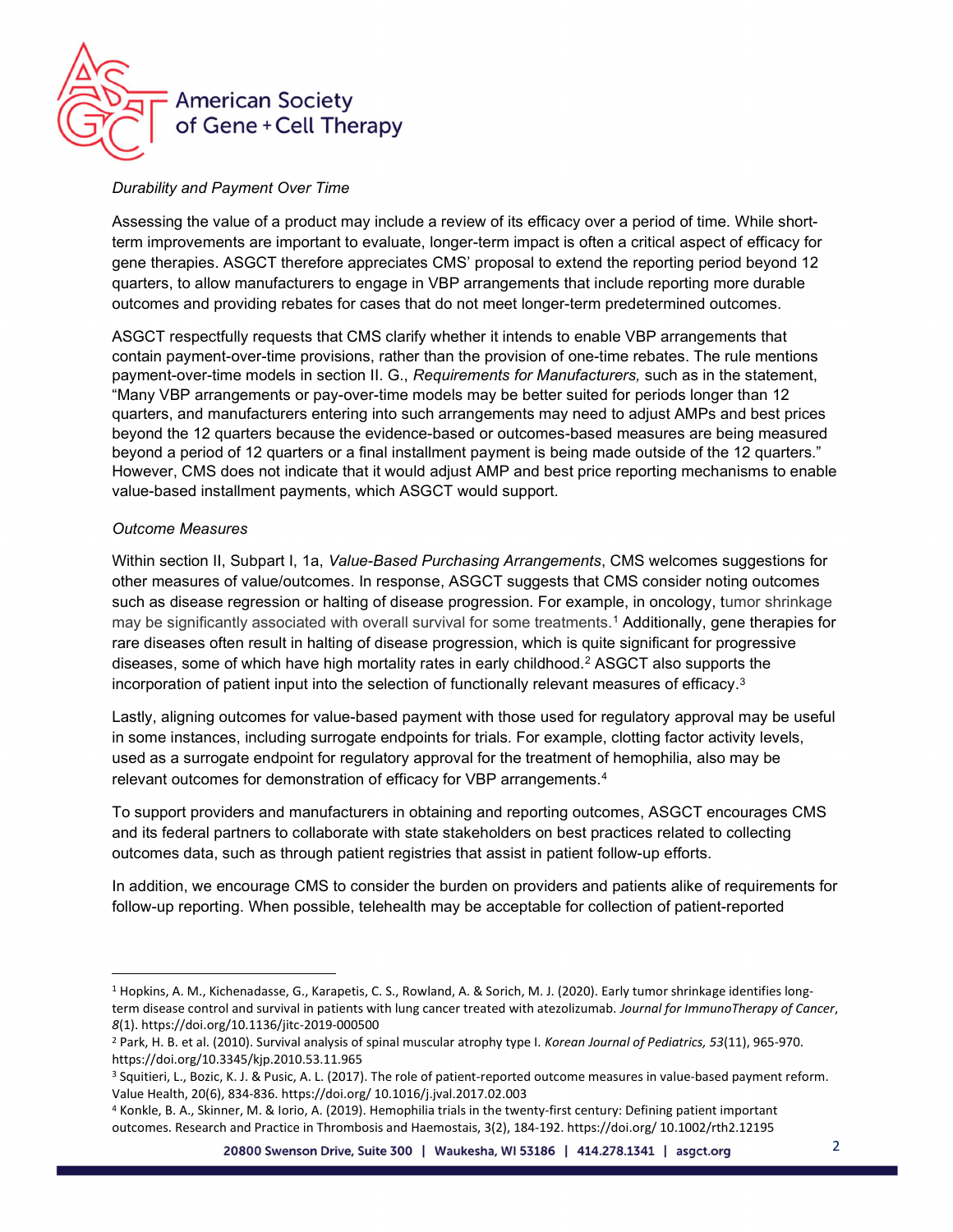

## Durability and Payment Over Time

Assessing the value of a product may include a review of its efficacy over a period of time. While shortterm improvements are important to evaluate, longer-term impact is often a critical aspect of efficacy for gene therapies. ASGCT therefore appreciates CMS' proposal to extend the reporting period beyond 12 quarters, to allow manufacturers to engage in VBP arrangements that include reporting more durable outcomes and providing rebates for cases that do not meet longer-term predetermined outcomes.

ASGCT respectfully requests that CMS clarify whether it intends to enable VBP arrangements that contain payment-over-time provisions, rather than the provision of one-time rebates. The rule mentions payment-over-time models in section II. G., Requirements for Manufacturers, such as in the statement, "Many VBP arrangements or pay-over-time models may be better suited for periods longer than 12 quarters, and manufacturers entering into such arrangements may need to adjust AMPs and best prices beyond the 12 quarters because the evidence-based or outcomes-based measures are being measured beyond a period of 12 quarters or a final installment payment is being made outside of the 12 quarters." However, CMS does not indicate that it would adjust AMP and best price reporting mechanisms to enable value-based installment payments, which ASGCT would support.

## Outcome Measures

Within section II, Subpart I, 1a, Value-Based Purchasing Arrangements, CMS welcomes suggestions for other measures of value/outcomes. In response, ASGCT suggests that CMS consider noting outcomes such as disease regression or halting of disease progression. For example, in oncology, tumor shrinkage may be significantly associated with overall survival for some treatments.<sup>1</sup> Additionally, gene therapies for rare diseases often result in halting of disease progression, which is quite significant for progressive diseases, some of which have high mortality rates in early childhood.<sup>2</sup> ASGCT also supports the incorporation of patient input into the selection of functionally relevant measures of efficacy. $^3$ 

Lastly, aligning outcomes for value-based payment with those used for regulatory approval may be useful in some instances, including surrogate endpoints for trials. For example, clotting factor activity levels, used as a surrogate endpoint for regulatory approval for the treatment of hemophilia, also may be relevant outcomes for demonstration of efficacy for VBP arrangements.<sup>4</sup>

To support providers and manufacturers in obtaining and reporting outcomes, ASGCT encourages CMS and its federal partners to collaborate with state stakeholders on best practices related to collecting outcomes data, such as through patient registries that assist in patient follow-up efforts.

In addition, we encourage CMS to consider the burden on providers and patients alike of requirements for follow-up reporting. When possible, telehealth may be acceptable for collection of patient-reported

<sup>&</sup>lt;sup>1</sup> Hopkins, A. M., Kichenadasse, G., Karapetis, C. S., Rowland, A. & Sorich, M. J. (2020). Early tumor shrinkage identifies longterm disease control and survival in patients with lung cancer treated with atezolizumab. Journal for ImmunoTherapy of Cancer, 8(1). https://doi.org/10.1136/jitc-2019-000500

<sup>&</sup>lt;sup>2</sup> Park, H. B. et al. (2010). Survival analysis of spinal muscular atrophy type I. Korean Journal of Pediatrics, 53(11), 965-970. https://doi.org/10.3345/kjp.2010.53.11.965

<sup>3</sup> Squitieri, L., Bozic, K. J. & Pusic, A. L. (2017). The role of patient-reported outcome measures in value-based payment reform. Value Health, 20(6), 834-836. https://doi.org/ 10.1016/j.jval.2017.02.003

<sup>4</sup> Konkle, B. A., Skinner, M. & Iorio, A. (2019). Hemophilia trials in the twenty-first century: Defining patient important outcomes. Research and Practice in Thrombosis and Haemostais, 3(2), 184-192. https://doi.org/ 10.1002/rth2.12195